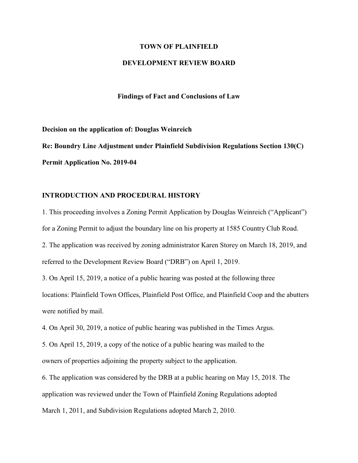#### **TOWN OF PLAINFIELD**

## **DEVELOPMENT REVIEW BOARD**

**Findings of Fact and Conclusions of Law**

**Decision on the application of: Douglas Weinreich Re: Boundry Line Adjustment under Plainfield Subdivision Regulations Section 130(C) Permit Application No. 2019-04**

### **INTRODUCTION AND PROCEDURAL HISTORY**

1. This proceeding involves a Zoning Permit Application by Douglas Weinreich ("Applicant") for a Zoning Permit to adjust the boundary line on his property at 1585 Country Club Road. 2. The application was received by zoning administrator Karen Storey on March 18, 2019, and referred to the Development Review Board ("DRB") on April 1, 2019.

3. On April 15, 2019, a notice of a public hearing was posted at the following three locations: Plainfield Town Offices, Plainfield Post Office, and Plainfield Coop and the abutters were notified by mail.

4. On April 30, 2019, a notice of public hearing was published in the Times Argus.

5. On April 15, 2019, a copy of the notice of a public hearing was mailed to the owners of properties adjoining the property subject to the application.

6. The application was considered by the DRB at a public hearing on May 15, 2018. The application was reviewed under the Town of Plainfield Zoning Regulations adopted March 1, 2011, and Subdivision Regulations adopted March 2, 2010.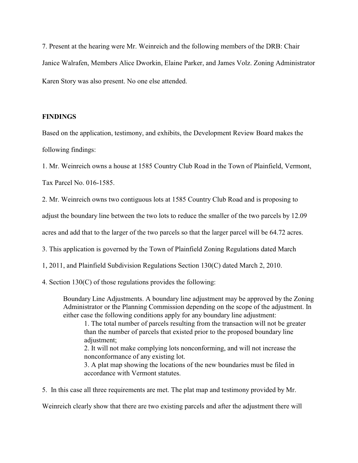7. Present at the hearing were Mr. Weinreich and the following members of the DRB: Chair Janice Walrafen, Members Alice Dworkin, Elaine Parker, and James Volz. Zoning Administrator Karen Story was also present. No one else attended.

### **FINDINGS**

Based on the application, testimony, and exhibits, the Development Review Board makes the following findings:

1. Mr. Weinreich owns a house at 1585 Country Club Road in the Town of Plainfield, Vermont,

Tax Parcel No. 016-1585.

2. Mr. Weinreich owns two contiguous lots at 1585 Country Club Road and is proposing to

adjust the boundary line between the two lots to reduce the smaller of the two parcels by 12.09

acres and add that to the larger of the two parcels so that the larger parcel will be 64.72 acres.

3. This application is governed by the Town of Plainfield Zoning Regulations dated March

1, 2011, and Plainfield Subdivision Regulations Section 130(C) dated March 2, 2010.

4. Section 130(C) of those regulations provides the following:

Boundary Line Adjustments. A boundary line adjustment may be approved by the Zoning Administrator or the Planning Commission depending on the scope of the adjustment. In either case the following conditions apply for any boundary line adjustment:

1. The total number of parcels resulting from the transaction will not be greater than the number of parcels that existed prior to the proposed boundary line adjustment;

2. It will not make complying lots nonconforming, and will not increase the nonconformance of any existing lot.

3. A plat map showing the locations of the new boundaries must be filed in accordance with Vermont statutes.

5. In this case all three requirements are met. The plat map and testimony provided by Mr.

Weinreich clearly show that there are two existing parcels and after the adjustment there will